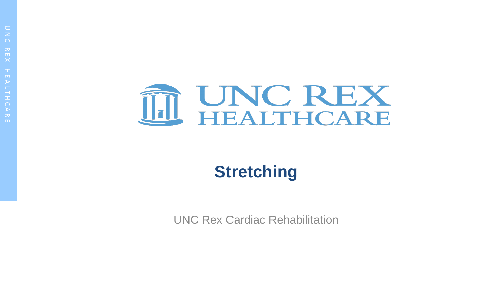

# **Stretching**

UNC Rex Cardiac Rehabilitation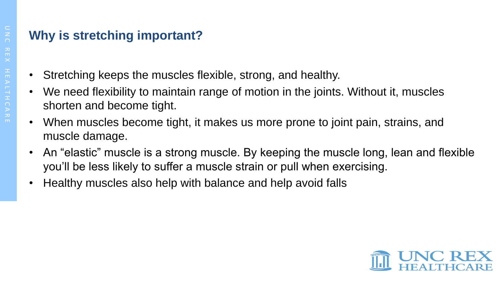## **Why is stretching important?**

- Stretching keeps the muscles flexible, strong, and healthy.
- We need flexibility to maintain range of motion in the joints. Without it, muscles shorten and become tight.
- When muscles become tight, it makes us more prone to joint pain, strains, and muscle damage.
- An "elastic" muscle is a strong muscle. By keeping the muscle long, lean and flexible you'll be less likely to suffer a muscle strain or pull when exercising.
- Healthy muscles also help with balance and help avoid falls

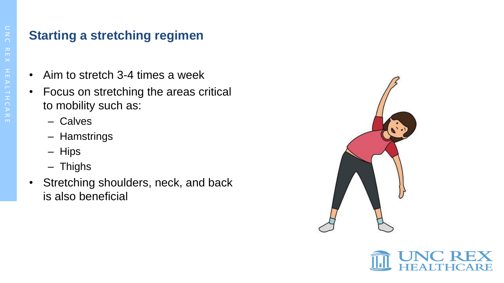#### **Starting a stretching regimen**

- Aim to stretch 3-4 times a week
- Focus on stretching the areas critical to mobility such as:
	- Calves
	- Hamstrings
	- Hips
	- Thighs
- Stretching shoulders, neck, and back is also beneficial



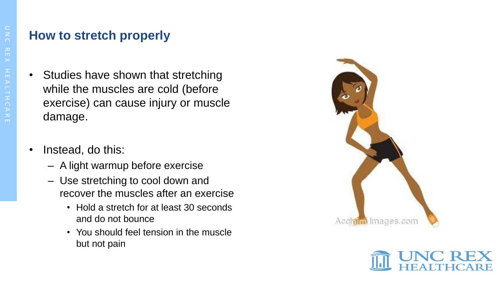### **How to stretch properly**

- Studies have shown that stretching while the muscles are cold (before exercise) can cause injury or muscle damage.
- Instead, do this:
	- A light warmup before exercise
	- Use stretching to cool down and recover the muscles after an exercise
		- Hold a stretch for at least 30 seconds and do not bounce
		- You should feel tension in the muscle but not pain